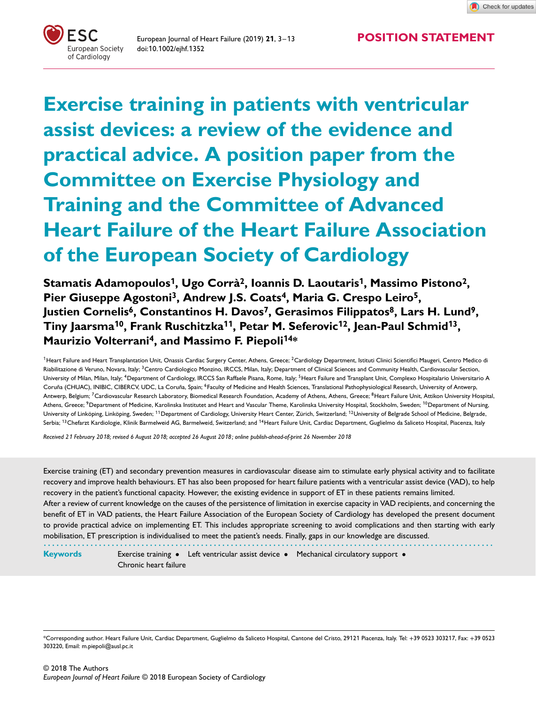European Journal of Heart Failure (2019) **<sup>2</sup>1**, 3–1<sup>3</sup> **POSITION STATEMENT** doi:10.1002/ejhf.1352



**Exercise training in patients with ventricular assist devices: a review of the evidence and practical advice. A position paper from the Committee on Exercise Physiology and Training and the Committee of Advanced Heart Failure of the Heart Failure Association of the European Society of Cardiology**

**Stamatis Adamopoulos<sup>1</sup>, Ugo Corrà2, Ioannis D. Laoutaris<sup>1</sup>, Massimo Pistono2,** Pier Giuseppe Agostoni<sup>3</sup>, Andrew J.S. Coats<sup>4</sup>, Maria G. Crespo Leiro<sup>5</sup>, **Justien Cornelis6, Constantinos H. Davos7, Gerasimos Filippatos8, Lars H. Lund9, Tiny Jaarsma<sup>1</sup>0, Frank Ruschitzka<sup>11</sup>, Petar M. Seferovic<sup>1</sup>2, Jean-Paul Schmid<sup>1</sup>3, Maurizio Volterrani4, and Massimo F. Piepoli<sup>1</sup>4\***

<sup>1</sup> Heart Failure and Heart Transplantation Unit, Onassis Cardiac Surgery Center, Athens, Greece; <sup>2</sup>Cardiology Department, Istituti Clinici Scientifici Maugeri, Centro Medico di Riabilitazione di Veruno, Novara, Italy; <sup>3</sup>Centro Cardiologico Monzino, IRCCS, Milan, Italy; Department of Clinical Sciences and Community Health, Cardiovascular Section, University of Milan, Milan, Italy; <sup>4</sup>Department of Cardiology, IRCCS San Raffaele Pisana, Rome, Italy; <sup>5</sup>Heart Failure and Transplant Unit, Complexo Hospitalario Universitario A Coruña (CHUAC), INIBIC, CIBERCV, UDC, La Coruña, Spain; <sup>6</sup>Faculty of Medicine and Health Sciences, Translational Pathophysiological Research, University of Antwerp, Antwerp, Belgium; <sup>7</sup>Cardiovascular Research Laboratory, Biomedical Research Foundation, Academy of Athens, Athens, Greece; <sup>8</sup>Heart Failure Unit, Attikon University Hospital, Athens, Greece; <sup>9</sup>Department of Medicine, Karolinska Institutet and Heart and Vascular Theme, Karolinska University Hospital, Stockholm, Sweden; <sup>10</sup>Department of Nursing, University of Linköping, Linköping, Sweden; <sup>11</sup> Department of Cardiology, University Heart Center, Zürich, Switzerland; <sup>12</sup>University of Belgrade School of Medicine, Belgrade, Serbia; <sup>13</sup>Chefarzt Kardiologie, Klinik Barmelweid AG, Barmelweid, Switzerland; and <sup>14</sup>Heart Failure Unit, Cardiac Department, Guglielmo da Saliceto Hospital, Piacenza, Italy

*Received 2*1 *February 20*1*8; revised 6 August 20*1*8; accepted 26 August 20*1*8 ; online publish-ahead-of-print 26 November 20*1*8*

Exercise training (ET) and secondary prevention measures in cardiovascular disease aim to stimulate early physical activity and to facilitate recovery and improve health behaviours. ET has also been proposed for heart failure patients with a ventricular assist device (VAD), to help recovery in the patient's functional capacity. However, the existing evidence in support of ET in these patients remains limited. After a review of current knowledge on the causes of the persistence of limitation in exercise capacity in VAD recipients, and concerning the benefit of ET in VAD patients, the Heart Failure Association of the European Society of Cardiology has developed the present document to provide practical advice on implementing ET. This includes appropriate screening to avoid complications and then starting with early mobilisation, ET prescription is individualised to meet the patient's needs. Finally, gaps in our knowledge are discussed. *..........................................................................................................*

**Keywords** Exercise training • Left ventricular assist device • Mechanical circulatory support • Chronic heart failure

<sup>\*</sup>Corresponding author. Heart Failure Unit, Cardiac Department, Guglielmo da Saliceto Hospital, Cantone del Cristo, 29121 Piacenza, Italy. Tel: +39 0523 303217, Fax: +39 0523 303220, Email: m.piepoli@ausl.pc.it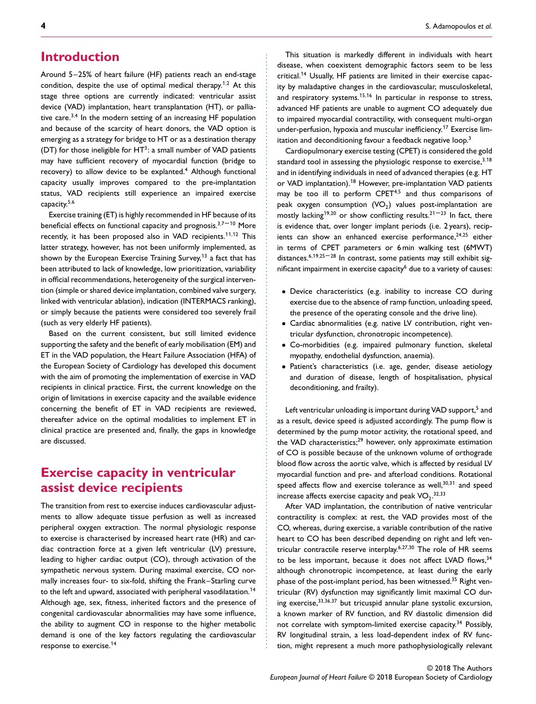## **Introduction**

Around 5–25% of heart failure (HF) patients reach an end-stage condition, despite the use of optimal medical therapy.<sup>1</sup>*,*<sup>2</sup> At this stage three options are currently indicated: ventricular assist device (VAD) implantation, heart transplantation (HT), or palliative care.3*,*<sup>4</sup> In the modern setting of an increasing HF population and because of the scarcity of heart donors, the VAD option is emerging as a strategy for bridge to HT or as a destination therapy (DT) for those ineligible for  $HT^3$ : a small number of VAD patients may have sufficient recovery of myocardial function (bridge to recovery) to allow device to be explanted.<sup>4</sup> Although functional capacity usually improves compared to the pre-implantation status, VAD recipients still experience an impaired exercise capacity.5*,*<sup>6</sup>

Exercise training (ET) is highly recommended in HF because of its beneficial effects on functional capacity and prognosis.<sup>3,7–10</sup> More recently, it has been proposed also in VAD recipients.<sup>11</sup>*,*1<sup>2</sup> This latter strategy, however, has not been uniformly implemented, as shown by the European Exercise Training Survey,<sup>13</sup> a fact that has been attributed to lack of knowledge, low prioritization, variability in official recommendations, heterogeneity of the surgical intervention (simple or shared device implantation, combined valve surgery, linked with ventricular ablation), indication (INTERMACS ranking), or simply because the patients were considered too severely frail (such as very elderly HF patients).

Based on the current consistent, but still limited evidence supporting the safety and the benefit of early mobilisation (EM) and ET in the VAD population, the Heart Failure Association (HFA) of the European Society of Cardiology has developed this document with the aim of promoting the implementation of exercise in VAD recipients in clinical practice. First, the current knowledge on the origin of limitations in exercise capacity and the available evidence concerning the benefit of ET in VAD recipients are reviewed, thereafter advice on the optimal modalities to implement ET in clinical practice are presented and, finally, the gaps in knowledge are discussed.

# **Exercise capacity in ventricular assist device recipients**

The transition from rest to exercise induces cardiovascular adjustments to allow adequate tissue perfusion as well as increased peripheral oxygen extraction. The normal physiologic response to exercise is characterised by increased heart rate (HR) and cardiac contraction force at a given left ventricular (LV) pressure, leading to higher cardiac output (CO), through activation of the sympathetic nervous system. During maximal exercise, CO normally increases four- to six-fold, shifting the Frank–Starling curve to the left and upward, associated with peripheral vasodilatation.<sup>14</sup> Although age, sex, fitness, inherited factors and the presence of congenital cardiovascular abnormalities may have some influence, the ability to augment CO in response to the higher metabolic demand is one of the key factors regulating the cardiovascular response to exercise.<sup>14</sup>

This situation is markedly different in individuals with heart disease, when coexistent demographic factors seem to be less critical.<sup>1</sup><sup>4</sup> Usually, HF patients are limited in their exercise capacity by maladaptive changes in the cardiovascular, musculoskeletal, and respiratory systems.<sup>1</sup>5*,*1<sup>6</sup> In particular in response to stress, advanced HF patients are unable to augment CO adequately due to impaired myocardial contractility, with consequent multi-organ under-perfusion, hypoxia and muscular inefficiency.<sup>1</sup><sup>7</sup> Exercise limitation and deconditioning favour a feedback negative loop.<sup>3</sup>

Cardiopulmonary exercise testing (CPET) is considered the gold standard tool in assessing the physiologic response to exercise,<sup>3,18</sup> and in identifying individuals in need of advanced therapies (e.g. HT or VAD implantation).<sup>18</sup> However, pre-implantation VAD patients may be too ill to perform CPET4*,*<sup>5</sup> and thus comparisons of peak oxygen consumption  $(VO<sub>2</sub>)$  values post-implantation are mostly lacking<sup>19,20</sup> or show conflicting results.<sup>21-23</sup> In fact, there is evidence that, over longer implant periods (i.e. 2 years), recipients can show an enhanced exercise performance,<sup>24,25</sup> either in terms of CPET parameters or 6 min walking test (6MWT) distances.<sup>6,19,25-28</sup> In contrast, some patients may still exhibit significant impairment in exercise capacity<sup>6</sup> due to a variety of causes:

- Device characteristics (e.g. inability to increase CO during exercise due to the absence of ramp function, unloading speed, the presence of the operating console and the drive line).
- Cardiac abnormalities (e.g. native LV contribution, right ventricular dysfunction, chronotropic incompetence).
- Co-morbidities (e.g. impaired pulmonary function, skeletal myopathy, endothelial dysfunction, anaemia).

................................................................ ............................................................... .........................................

• Patient's characteristics (i.e. age, gender, disease aetiology and duration of disease, length of hospitalisation, physical deconditioning, and frailty).

Left ventricular unloading is important during VAD support,<sup>5</sup> and as a result, device speed is adjusted accordingly. The pump flow is determined by the pump motor activity, the rotational speed, and the VAD characteristics; $^{29}$  however, only approximate estimation of CO is possible because of the unknown volume of orthograde blood flow across the aortic valve, which is affected by residual LV myocardial function and pre- and afterload conditions. Rotational speed affects flow and exercise tolerance as well,<sup>30,31</sup> and speed increase affects exercise capacity and peak  $VO<sub>2</sub>$ .<sup>32,33</sup>

After VAD implantation, the contribution of native ventricular contractility is complex: at rest, the VAD provides most of the CO, whereas, during exercise, a variable contribution of the native heart to CO has been described depending on right and left ventricular contractile reserve interplay.<sup>6</sup>*,*27*,*<sup>30</sup> The role of HR seems to be less important, because it does not affect LVAD flows, 34 although chronotropic incompetence, at least during the early phase of the post-implant period, has been witnessed.<sup>35</sup> Right ventricular (RV) dysfunction may significantly limit maximal CO during exercise,33*,*36*,*<sup>37</sup> but tricuspid annular plane systolic excursion, a known marker of RV function, and RV diastolic dimension did not correlate with symptom-limited exercise capacity.<sup>34</sup> Possibly, RV longitudinal strain, a less load-dependent index of RV function, might represent a much more pathophysiologically relevant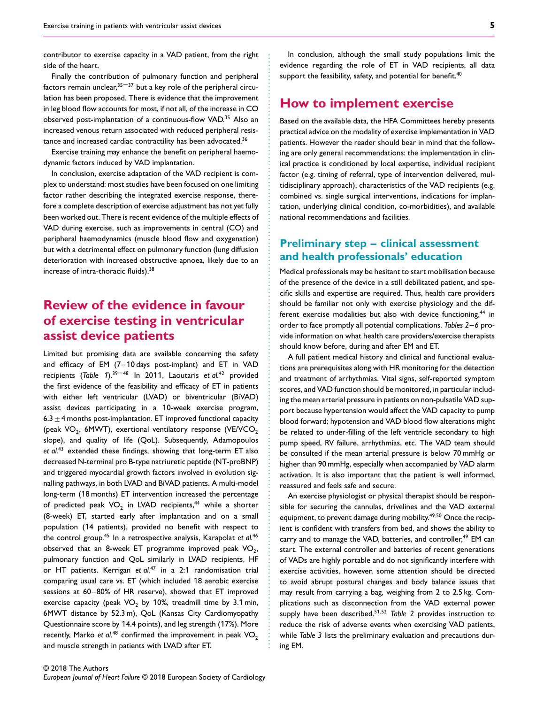contributor to exercise capacity in a VAD patient, from the right side of the heart.

Finally the contribution of pulmonary function and peripheral factors remain unclear,  $35-37$  but a key role of the peripheral circulation has been proposed. There is evidence that the improvement in leg blood flow accounts for most, if not all, of the increase in CO observed post-implantation of a continuous-flow VAD.35 Also an increased venous return associated with reduced peripheral resistance and increased cardiac contractility has been advocated.<sup>36</sup>

Exercise training may enhance the benefit on peripheral haemodynamic factors induced by VAD implantation.

In conclusion, exercise adaptation of the VAD recipient is complex to understand: most studies have been focused on one limiting factor rather describing the integrated exercise response, therefore a complete description of exercise adjustment has not yet fully been worked out. There is recent evidence of the multiple effects of VAD during exercise, such as improvements in central (CO) and peripheral haemodynamics (muscle blood flow and oxygenation) but with a detrimental effect on pulmonary function (lung diffusion deterioration with increased obstructive apnoea, likely due to an increase of intra-thoracic fluids).<sup>38</sup>

# **Review of the evidence in favour of exercise testing in ventricular assist device patients**

Limited but promising data are available concerning the safety and efficacy of EM (7–10 days post-implant) and ET in VAD recipients (*Table 1*).<sup>39-48</sup> In 2011, Laoutaris *et al.<sup>42</sup>* provided the first evidence of the feasibility and efficacy of ET in patients with either left ventricular (LVAD) or biventricular (BiVAD) assist devices participating in a 10-week exercise program, 6.3  $\pm$  4 months post-implantation. ET improved functional capacity (peak VO<sub>2</sub>, 6MWT), exertional ventilatory response (VE/VCO<sub>2</sub>) slope), and quality of life (QoL). Subsequently, Adamopoulos *et al.*<sup>43</sup> extended these findings, showing that long-term ET also decreased N-terminal pro B-type natriuretic peptide (NT-proBNP) and triggered myocardial growth factors involved in evolution signalling pathways, in both LVAD and BiVAD patients. A multi-model long-term (18 months) ET intervention increased the percentage of predicted peak  $VO<sub>2</sub>$  in LVAD recipients,<sup>44</sup> while a shorter (8-week) ET, started early after implantation and on a small population (14 patients), provided no benefit with respect to the control group.45 In a retrospective analysis, Karapolat *et al.*<sup>46</sup> observed that an 8-week ET programme improved peak  $VO<sub>2</sub>$ , pulmonary function and QoL similarly in LVAD recipients, HF or HT patients. Kerrigan *et al.*<sup>47</sup> in a 2:1 randomisation trial comparing usual care vs. ET (which included 18 aerobic exercise sessions at 60–80% of HR reserve), showed that ET improved exercise capacity (peak  $VO<sub>2</sub>$  by 10%, treadmill time by 3.1 min, 6MWT distance by 52.3 m), QoL (Kansas City Cardiomyopathy Questionnaire score by 14.4 points), and leg strength (17%). More recently, Marko *et al.<sup>48</sup>* confirmed the improvement in peak  $VO<sub>2</sub>$ and muscle strength in patients with LVAD after ET.

# **How to implement exercise**

Based on the available data, the HFA Committees hereby presents practical advice on the modality of exercise implementation in VAD patients. However the reader should bear in mind that the following are only general recommendations: the implementation in clinical practice is conditioned by local expertise, individual recipient factor (e.g. timing of referral, type of intervention delivered, multidisciplinary approach), characteristics of the VAD recipients (e.g. combined vs. single surgical interventions, indications for implantation, underlying clinical condition, co-morbidities), and available national recommendations and facilities.

## **Preliminary step – clinical assessment and health professionals' education**

Medical professionals may be hesitant to start mobilisation because of the presence of the device in a still debilitated patient, and specific skills and expertise are required. Thus, health care providers should be familiar not only with exercise physiology and the different exercise modalities but also with device functioning,<sup>44</sup> in order to face promptly all potential complications. *Tables 2*–*6* provide information on what health care providers/exercise therapists should know before, during and after EM and ET.

A full patient medical history and clinical and functional evaluations are prerequisites along with HR monitoring for the detection and treatment of arrhythmias. Vital signs, self-reported symptom scores, and VAD function should be monitored, in particular including the mean arterial pressure in patients on non-pulsatile VAD support because hypertension would affect the VAD capacity to pump blood forward; hypotension and VAD blood flow alterations might be related to under-filling of the left ventricle secondary to high pump speed, RV failure, arrhythmias, etc. The VAD team should be consulted if the mean arterial pressure is below 70 mmHg or higher than 90 mmHg, especially when accompanied by VAD alarm activation. It is also important that the patient is well informed, reassured and feels safe and secure.

An exercise physiologist or physical therapist should be responsible for securing the cannulas, drivelines and the VAD external equipment, to prevent damage during mobility.<sup>49,50</sup> Once the recipient is confident with transfers from bed, and shows the ability to carry and to manage the VAD, batteries, and controller,<sup>49</sup> EM can start. The external controller and batteries of recent generations of VADs are highly portable and do not significantly interfere with exercise activities, however, some attention should be directed to avoid abrupt postural changes and body balance issues that may result from carrying a bag, weighing from 2 to 2.5 kg. Complications such as disconnection from the VAD external power supply have been described.<sup>5</sup>1*,*<sup>52</sup> *Table 2* provides instruction to reduce the risk of adverse events when exercising VAD patients, while *Table 3* lists the preliminary evaluation and precautions during EM.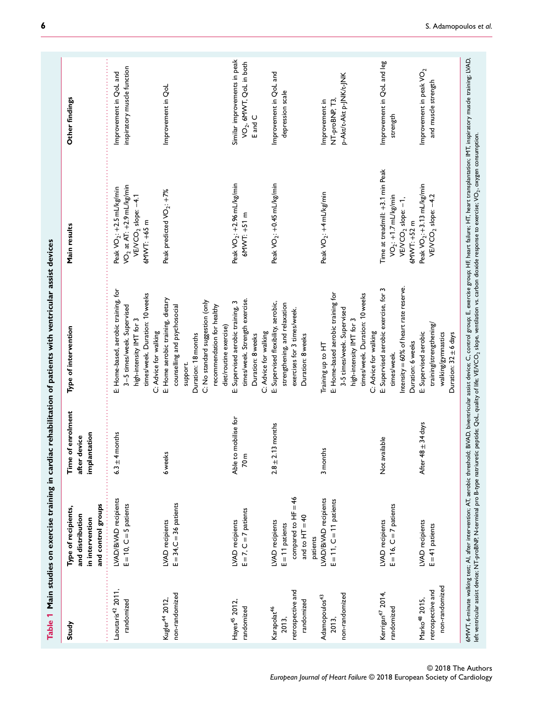| Study                                                               | and control groups<br>Type of recipients,<br>and distribution<br>in intervention  | Time of enrolment<br>implantation<br>device<br>after | Type of intervention                                                                                                                                                                           | Main results                                                                                                                            | Other findings                                                    |
|---------------------------------------------------------------------|-----------------------------------------------------------------------------------|------------------------------------------------------|------------------------------------------------------------------------------------------------------------------------------------------------------------------------------------------------|-----------------------------------------------------------------------------------------------------------------------------------------|-------------------------------------------------------------------|
| Laoutaris <sup>42</sup> 2011,<br>randomized                         | LVAD/BiVAD recipients<br>$E = 10$ , $C = 5$ patients                              | $6.3 \pm 4$ months                                   | E: Home-based, aerobic training, for<br>times/week. Duration: 10 weeks<br>3-5 times/week. Supervised<br>high-intensity IMT for 3                                                               | VO <sub>2</sub> at AT: $+2.9$ mL/kg/min<br>Peak VO <sub>2</sub> : +2.5 mL/kg/min<br>VE/VCO <sub>2</sub> slope: -4.1<br>$6$ MWT: $+65$ m | inspiratory muscle function<br>Improvement in QoL and             |
| non-randomized<br>Kugler <sup>44</sup> 2012,                        | $E = 34$ , $C = 36$ patients<br>LVAD recipients                                   | 6 weeks                                              | E: Home aerobic training, dietary<br>C: No standard suggestion (only<br>recommendation for healthy<br>counselling and psychosocial<br>C: Advice for walking<br>Duration: 18 months<br>support. | Peak predicted VO <sub>2</sub> : +7%                                                                                                    | Improvement in QoL                                                |
| Hayes <sup>45</sup> 2012,<br>randomized                             | $E = 7$ , $C = 7$ patients<br>LVAD recipients                                     | Able to mobilise for<br>70 <sub>m</sub>              | times/week. Strength exercise.<br>E: Supervised aerobic training, 3<br>diet/routine exercise)<br>C: Advice for walking<br>Duration: 8 weeks                                                    | Peak VO <sub>2</sub> : +2.96 mL/kg/min<br>$6$ MWT: $+51$ m                                                                              | Similar improvements in peak<br>VO2, 6MVT, QoL in both<br>E and C |
| retrospective and<br>randomized<br>Karapolat <sup>46</sup><br>2013. | compared to $HF = 46$<br>and to $HT = 40$<br>LVAD recipients<br>$E = 11$ patients | $2.8 \pm 2.13$ months                                | E: Supervised flexibility, aerobic,<br>strengthening, and relaxation<br>exercises for 3 times/week.<br>Duration: 8 weeks                                                                       | Peak VO <sub>2</sub> : +0.45 mL/kg/min                                                                                                  | Improvement in QoL and<br>depression scale                        |
| non-randomized<br>Adamopoulos <sup>43</sup><br>2013,                | LVAD/BiVAD recipients<br>$E = 11$ , $C = 11$ patients<br>patients                 | 3 months                                             | E: Home-based aerobic training for<br>times/week. Duration: 10 weeks<br>3-5 times/week. Supervised<br>high-intensity IMT for 3<br>C: Advice for walking<br>Training up to HT                   | Peak VO <sub>2</sub> : +4 mL/kg/min                                                                                                     | p-Akt/t-Akt p-JNK/t-JNK<br>Improvement in<br>NT-proBNP, T3,       |
| Kerrigan <sup>47</sup> 2014,<br>randomized                          | $E = 16$ , $C = 7$ patients<br>LVAD recipients                                    | Not available                                        | Intensity = 60% of heart rate reserve.<br>E: Supervised aerobic exercise, for 3<br>Duration: 6 weeks<br>times/week.                                                                            | Time at treadmill: +3.1 min Peak<br>$VO2: +1.7 mL/kg/min$<br>$VEVCO2 slope: -1,$<br>$6$ MWT: $+52$ m                                    | Improvement in QoL and leg<br>strength                            |
| non-randomized<br>retrospective and<br>Marko <sup>48</sup> 2015,    | LVAD recipients<br>$E = 41$ patients                                              | $48 \pm 34$ days<br>After                            | training/strengthening/<br>E: Supervised aerobic<br>walking/gymnastics<br>Duration: $32 \pm 6$ days                                                                                            | Peak VO <sub>2</sub> : +3.13 mL/kg/min<br>VE/VCO <sub>2</sub> slope: -4.2                                                               | Improvement in peak VO <sub>2</sub><br>and muscle strength        |

© 20 18 The Authors *European Journal of Heart Failure* © 20 18 European Society of Cardiology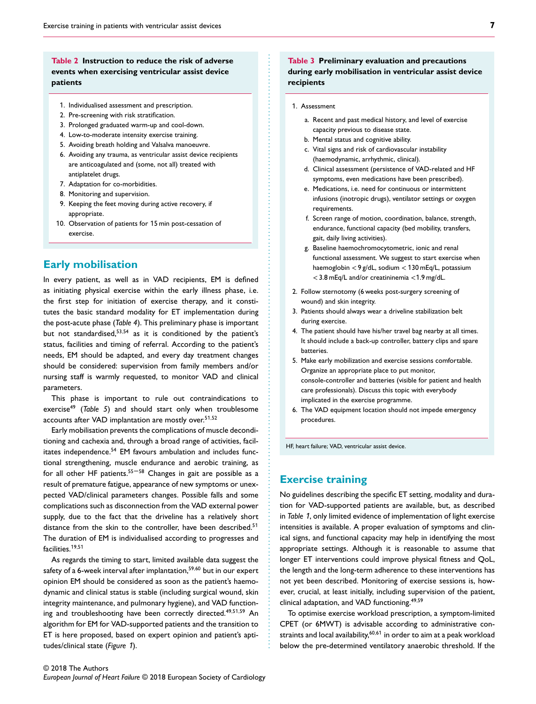**patients**

- 1. Individualised assessment and prescription.
- 2. Pre-screening with risk stratification.
- 3. Prolonged graduated warm-up and cool-down.
- 4. Low-to-moderate intensity exercise training.
- 5. Avoiding breath holding and Valsalva manoeuvre.
- 6. Avoiding any trauma, as ventricular assist device recipients are anticoagulated and (some, not all) treated with antiplatelet drugs.
- 7. Adaptation for co-morbidities.
- 8. Monitoring and supervision.
- 9. Keeping the feet moving during active recovery, if appropriate.
- 10. Observation of patients for 15 min post-cessation of exercise.

## **Early mobilisation**

In every patient, as well as in VAD recipients, EM is defined as initiating physical exercise within the early illness phase, i.e. the first step for initiation of exercise therapy, and it constitutes the basic standard modality for ET implementation during the post-acute phase (*Table 4*). This preliminary phase is important but not standardised,<sup>53</sup>*,*<sup>54</sup> as it is conditioned by the patient's status, facilities and timing of referral. According to the patient's needs, EM should be adapted, and every day treatment changes should be considered: supervision from family members and/or nursing staff is warmly requested, to monitor VAD and clinical parameters.

This phase is important to rule out contraindications to exercise<sup>49</sup> (*Table 5*) and should start only when troublesome accounts after VAD implantation are mostly over.<sup>5</sup>1*,*<sup>52</sup>

Early mobilisation prevents the complications of muscle deconditioning and cachexia and, through a broad range of activities, facilitates independence.<sup>54</sup> EM favours ambulation and includes functional strengthening, muscle endurance and aerobic training, as for all other HF patients. $55 - 58$  Changes in gait are possible as a result of premature fatigue, appearance of new symptoms or unexpected VAD/clinical parameters changes. Possible falls and some complications such as disconnection from the VAD external power supply, due to the fact that the driveline has a relatively short distance from the skin to the controller, have been described.<sup>51</sup> The duration of EM is individualised according to progresses and facilities.<sup>1</sup>9*,*5<sup>1</sup>

As regards the timing to start, limited available data suggest the safety of a 6-week interval after implantation,<sup>59</sup>*,*<sup>60</sup> but in our expert opinion EM should be considered as soon as the patient's haemodynamic and clinical status is stable (including surgical wound, skin integrity maintenance, and pulmonary hygiene), and VAD functioning and troubleshooting have been correctly directed.<sup>49</sup>*,*51*,*<sup>59</sup> An algorithm for EM for VAD-supported patients and the transition to ET is here proposed, based on expert opinion and patient's aptitudes/clinical state (*Figure* 1).

### **Table 3 Preliminary evaluation and precautions during early mobilisation in ventricular assist device recipients**

- 1. Assessment
	- a. Recent and past medical history, and level of exercise capacity previous to disease state.
	- b. Mental status and cognitive ability.
	- c. Vital signs and risk of cardiovascular instability (haemodynamic, arrhythmic, clinical).
	- d. Clinical assessment (persistence of VAD-related and HF symptoms, even medications have been prescribed).
	- e. Medications, i.e. need for continuous or intermittent infusions (inotropic drugs), ventilator settings or oxygen requirements.
	- f. Screen range of motion, coordination, balance, strength, endurance, functional capacity (bed mobility, transfers, gait, daily living activities).
	- g. Baseline haemochromocytometric, ionic and renal functional assessment. We suggest to start exercise when haemoglobin *<*9 g/dL, sodium *<*130 mEq/L, potassium *<*3.8 mEq/L and/or creatininemia *<*1.9 mg/dL.
- 2. Follow sternotomy (6 weeks post-surgery screening of wound) and skin integrity.
- 3. Patients should always wear a driveline stabilization belt during exercise.
- 4. The patient should have his/her travel bag nearby at all times. It should include a back-up controller, battery clips and spare batteries.
- 5. Make early mobilization and exercise sessions comfortable. Organize an appropriate place to put monitor, console-controller and batteries (visible for patient and health care professionals). Discuss this topic with everybody implicated in the exercise programme.
- 6. The VAD equipment location should not impede emergency procedures.

HF, heart failure; VAD, ventricular assist device.

## **Exercise training**

No guidelines describing the specific ET setting, modality and duration for VAD-supported patients are available, but, as described in *Table* 1, only limited evidence of implementation of light exercise intensities is available. A proper evaluation of symptoms and clinical signs, and functional capacity may help in identifying the most appropriate settings. Although it is reasonable to assume that longer ET interventions could improve physical fitness and QoL, the length and the long-term adherence to these interventions has not yet been described. Monitoring of exercise sessions is, however, crucial, at least initially, including supervision of the patient, clinical adaptation, and VAD functioning.49*,*<sup>59</sup>

To optimise exercise workload prescription, a symptom-limited CPET (or 6MWT) is advisable according to administrative constraints and local availability,60*,*6<sup>1</sup> in order to aim at a peak workload below the pre-determined ventilatory anaerobic threshold. If the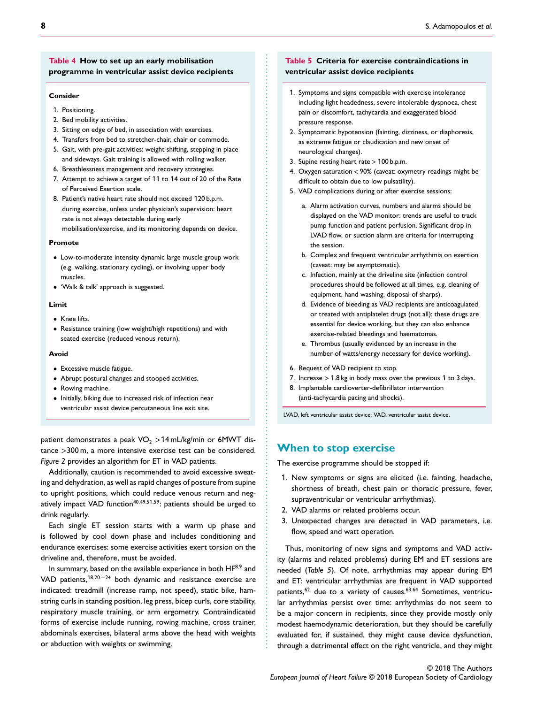### **Table 4 How to set up an early mobilisation programme in ventricular assist device recipients**

### **Consider**

- 1. Positioning.
- 2. Bed mobility activities.
- 3. Sitting on edge of bed, in association with exercises.
- 4. Transfers from bed to stretcher-chair, chair or commode.
- 5. Gait, with pre-gait activities: weight shifting, stepping in place and sideways. Gait training is allowed with rolling walker.
- 6. Breathlessness management and recovery strategies.
- 7. Attempt to achieve a target of 11 to 14 out of 20 of the Rate of Perceived Exertion scale.
- 8. Patient's native heart rate should not exceed 120 b.p.m. during exercise, unless under physician's supervision: heart rate is not always detectable during early mobilisation/exercise, and its monitoring depends on device.

#### **Promote**

- Low-to-moderate intensity dynamic large muscle group work (e.g. walking, stationary cycling), or involving upper body muscles.
- 'Walk & talk' approach is suggested.

#### **Limit**

- Knee lifts.
- Resistance training (low weight/high repetitions) and with seated exercise (reduced venous return).

#### **Avoid**

- Excessive muscle fatigue.
- Abrupt postural changes and stooped activities.
- Rowing machine.
- Initially, biking due to increased risk of infection near ventricular assist device percutaneous line exit site.

patient demonstrates a peak VO<sub>2</sub> > 14 mL/kg/min or 6MWT distance *>*300 m, a more intensive exercise test can be considered. *Figure 2* provides an algorithm for ET in VAD patients.

Additionally, caution is recommended to avoid excessive sweating and dehydration, as well as rapid changes of posture from supine to upright positions, which could reduce venous return and negatively impact VAD function<sup>40,49,51,59</sup>: patients should be urged to drink regularly.

Each single ET session starts with a warm up phase and is followed by cool down phase and includes conditioning and endurance exercises: some exercise activities exert torsion on the driveline and, therefore, must be avoided.

In summary, based on the available experience in both HF8*,*<sup>9</sup> and VAD patients,<sup>18,20-24</sup> both dynamic and resistance exercise are indicated: treadmill (increase ramp, not speed), static bike, hamstring curls in standing position, leg press, bicep curls, core stability, respiratory muscle training, or arm ergometry. Contraindicated forms of exercise include running, rowing machine, cross trainer, abdominals exercises, bilateral arms above the head with weights or abduction with weights or swimming.

### **Table 5 Criteria for exercise contraindications in ventricular assist device recipients**

- 1. Symptoms and signs compatible with exercise intolerance including light headedness, severe intolerable dyspnoea, chest pain or discomfort, tachycardia and exaggerated blood pressure response.
- 2. Symptomatic hypotension (fainting, dizziness, or diaphoresis, as extreme fatigue or claudication and new onset of neurological changes).
- 3. Supine resting heart rate*>*100 b.p.m.
- 4. Oxygen saturation*<*90% (caveat: oxymetry readings might be difficult to obtain due to low pulsatility).
- 5. VAD complications during or after exercise sessions:
	- a. Alarm activation curves, numbers and alarms should be displayed on the VAD monitor: trends are useful to track pump function and patient perfusion. Significant drop in LVAD flow, or suction alarm are criteria for interrupting the session.
	- b. Complex and frequent ventricular arrhythmia on exertion (caveat: may be asymptomatic).
	- c. Infection, mainly at the driveline site (infection control procedures should be followed at all times, e.g. cleaning of equipment, hand washing, disposal of sharps).
	- d. Evidence of bleeding as VAD recipients are anticoagulated or treated with antiplatelet drugs (not all): these drugs are essential for device working, but they can also enhance exercise-related bleedings and haematomas.
	- e. Thrombus (usually evidenced by an increase in the number of watts/energy necessary for device working).
- 6. Request of VAD recipient to stop.

................................................................ ............................................................... .........................................

- 7. Increase *>*1.8 kg in body mass over the previous 1 to 3 days.
- 8. Implantable cardioverter-defibrillator intervention (anti-tachycardia pacing and shocks).

LVAD, left ventricular assist device; VAD, ventricular assist device.

### **When to stop exercise**

The exercise programme should be stopped if:

- 1. New symptoms or signs are elicited (i.e. fainting, headache, shortness of breath, chest pain or thoracic pressure, fever, supraventricular or ventricular arrhythmias).
- 2. VAD alarms or related problems occur.
- 3. Unexpected changes are detected in VAD parameters, i.e. flow, speed and watt operation.

Thus, monitoring of new signs and symptoms and VAD activity (alarms and related problems) during EM and ET sessions are needed (*Table 5*). Of note, arrhythmias may appear during EM and ET: ventricular arrhythmias are frequent in VAD supported patients,62 due to a variety of causes.63*,*<sup>64</sup> Sometimes, ventricular arrhythmias persist over time: arrhythmias do not seem to be a major concern in recipients, since they provide mostly only modest haemodynamic deterioration, but they should be carefully evaluated for, if sustained, they might cause device dysfunction, through a detrimental effect on the right ventricle, and they might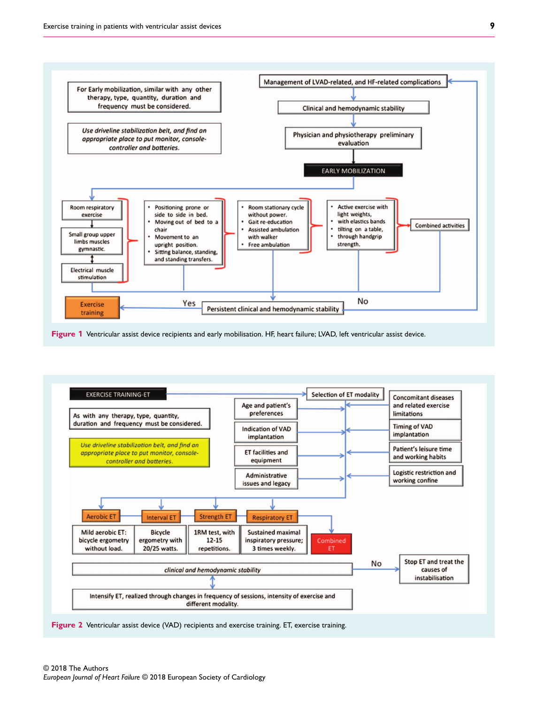

**Figure 1** Ventricular assist device recipients and early mobilisation. HF, heart failure; LVAD, left ventricular assist device.



**Figure 2** Ventricular assist device (VAD) recipients and exercise training. ET, exercise training.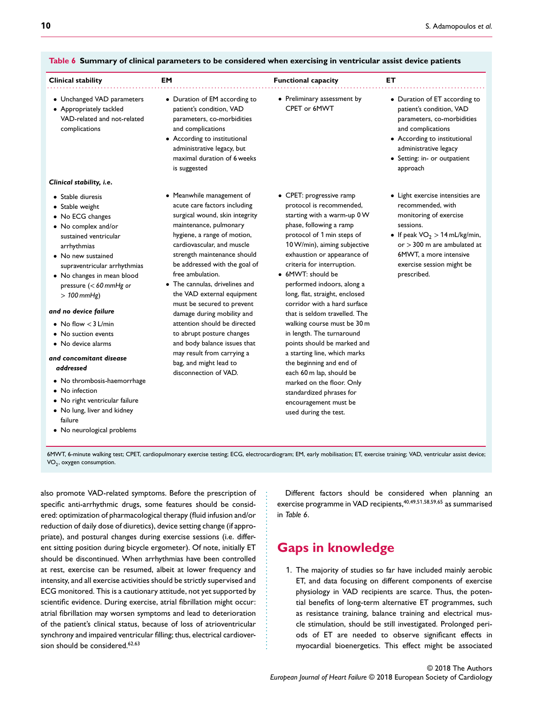| Clinical stability                                                                                                                                                                                                                                      | EM                                                                                                                                                                                                                                                                                                                                                                   | <b>Functional capacity</b>                                                                                                                                                                                                                                                                                                                                     | EТ                                                                                                                                                                                                                                     |
|---------------------------------------------------------------------------------------------------------------------------------------------------------------------------------------------------------------------------------------------------------|----------------------------------------------------------------------------------------------------------------------------------------------------------------------------------------------------------------------------------------------------------------------------------------------------------------------------------------------------------------------|----------------------------------------------------------------------------------------------------------------------------------------------------------------------------------------------------------------------------------------------------------------------------------------------------------------------------------------------------------------|----------------------------------------------------------------------------------------------------------------------------------------------------------------------------------------------------------------------------------------|
| • Unchanged VAD parameters<br>• Appropriately tackled<br>VAD-related and not-related<br>complications                                                                                                                                                   | • Duration of EM according to<br>patient's condition, VAD<br>parameters, co-morbidities<br>and complications<br>• According to institutional<br>administrative legacy, but<br>maximal duration of 6 weeks<br>is suggested                                                                                                                                            | • Preliminary assessment by<br>CPET or 6MWT                                                                                                                                                                                                                                                                                                                    | • Duration of ET according to<br>patient's condition, VAD<br>parameters, co-morbidities<br>and complications<br>• According to institutional<br>administrative legacy<br>• Setting: in- or outpatient<br>approach                      |
| Clinical stability, i.e.                                                                                                                                                                                                                                |                                                                                                                                                                                                                                                                                                                                                                      |                                                                                                                                                                                                                                                                                                                                                                |                                                                                                                                                                                                                                        |
| • Stable diuresis<br>• Stable weight<br>• No ECG changes<br>• No complex and/or<br>sustained ventricular<br>arrhythmias<br>• No new sustained<br>supraventricular arrhythmias<br>• No changes in mean blood<br>pressure $(< 60$ mmHg or<br>$>100$ mmHg) | • Meanwhile management of<br>acute care factors including<br>surgical wound, skin integrity<br>maintenance, pulmonary<br>hygiene, a range of motion,<br>cardiovascular, and muscle<br>strength maintenance should<br>be addressed with the goal of<br>free ambulation.<br>• The cannulas, drivelines and<br>the VAD external equipment<br>must be secured to prevent | • CPET: progressive ramp<br>protocol is recommended,<br>starting with a warm-up 0 W<br>phase, following a ramp<br>protocol of 1 min steps of<br>10 W/min), aiming subjective<br>exhaustion or appearance of<br>criteria for interruption.<br>• 6MWT: should be<br>performed indoors, along a<br>long, flat, straight, enclosed<br>corridor with a hard surface | • Light exercise intensities are<br>recommended, with<br>monitoring of exercise<br>sessions.<br>• If peak $VO2 > 14$ mL/kg/min,<br>or $>$ 300 m are ambulated at<br>6MWT, a more intensive<br>exercise session might be<br>prescribed. |
| and no device failure                                                                                                                                                                                                                                   | damage during mobility and<br>attention should be directed<br>to abrupt posture changes<br>and body balance issues that<br>may result from carrying a<br>bag, and might lead to<br>disconnection of VAD.                                                                                                                                                             | that is seldom travelled. The<br>walking course must be 30 m<br>in length. The turnaround<br>points should be marked and<br>a starting line, which marks<br>the beginning and end of<br>each 60 m lap, should be<br>marked on the floor. Only<br>standardized phrases for<br>encouragement must be<br>used during the test.                                    |                                                                                                                                                                                                                                        |
| • No flow $<$ 3 L/min                                                                                                                                                                                                                                   |                                                                                                                                                                                                                                                                                                                                                                      |                                                                                                                                                                                                                                                                                                                                                                |                                                                                                                                                                                                                                        |
| • No suction events<br>• No device alarms                                                                                                                                                                                                               |                                                                                                                                                                                                                                                                                                                                                                      |                                                                                                                                                                                                                                                                                                                                                                |                                                                                                                                                                                                                                        |
| and concomitant disease<br>addressed<br>• No thrombosis-haemorrhage<br>• No infection<br>• No right ventricular failure<br>• No lung, liver and kidney<br>failure<br>• No neurological problems                                                         |                                                                                                                                                                                                                                                                                                                                                                      |                                                                                                                                                                                                                                                                                                                                                                |                                                                                                                                                                                                                                        |

## **Table 6 Summary of clinical parameters to be considered when exercising in ventricular assist device patients**

also promote VAD-related symptoms. Before the prescription of Different factors should be considered when planning an exercise programme in VAD recipients,40*,*49*,*51*,*58*,*59*,*<sup>65</sup> as summarised

# **Gaps in knowledge**

1. The majority of studies so far have included mainly aerobic ET, and data focusing on different components of exercise physiology in VAD recipients are scarce. Thus, the potential benefits of long-term alternative ET programmes, such as resistance training, balance training and electrical muscle stimulation, should be still investigated. Prolonged periods of ET are needed to observe significant effects in myocardial bioenergetics. This effect might be associated

specific anti-arrhythmic drugs, some features should be considered: optimization of pharmacological therapy (fluid infusion and/or reduction of daily dose of diuretics), device setting change (if appropriate), and postural changes during exercise sessions (i.e. different sitting position during bicycle ergometer). Of note, initially ET should be discontinued. When arrhythmias have been controlled at rest, exercise can be resumed, albeit at lower frequency and intensity, and all exercise activities should be strictly supervised and ............................................. in *Table 6*.

ECG monitored. This is a cautionary attitude, not yet supported by scientific evidence. During exercise, atrial fibrillation might occur: atrial fibrillation may worsen symptoms and lead to deterioration of the patient's clinical status, because of loss of atrioventricular synchrony and impaired ventricular filling; thus, electrical cardioversion should be considered.62*,*<sup>63</sup>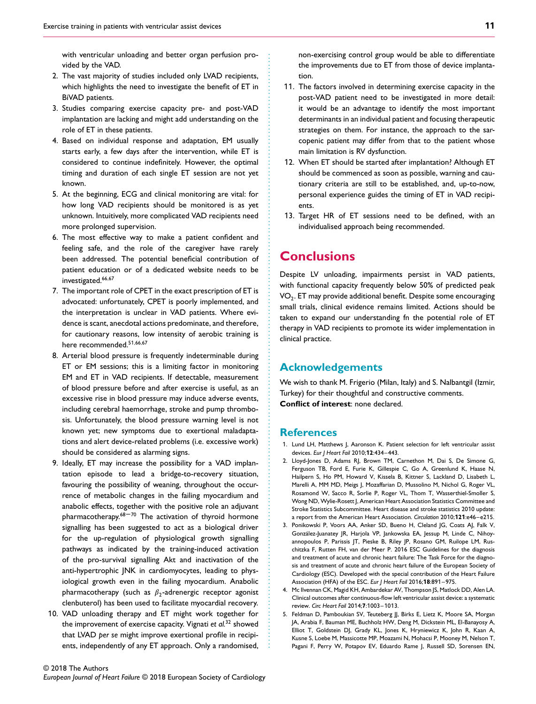with ventricular unloading and better organ perfusion provided by the VAD.

- 2. The vast majority of studies included only LVAD recipients, which highlights the need to investigate the benefit of ET in BiVAD patients.
- 3. Studies comparing exercise capacity pre- and post-VAD implantation are lacking and might add understanding on the role of ET in these patients.
- 4. Based on individual response and adaptation, EM usually starts early, a few days after the intervention, while ET is considered to continue indefinitely. However, the optimal timing and duration of each single ET session are not yet known.
- 5. At the beginning, ECG and clinical monitoring are vital: for how long VAD recipients should be monitored is as yet unknown. Intuitively, more complicated VAD recipients need more prolonged supervision.
- 6. The most effective way to make a patient confident and feeling safe, and the role of the caregiver have rarely been addressed. The potential beneficial contribution of patient education or of a dedicated website needs to be investigated.<sup>66</sup>*,*<sup>67</sup>
- 7. The important role of CPET in the exact prescription of ET is advocated: unfortunately, CPET is poorly implemented, and the interpretation is unclear in VAD patients. Where evidence is scant, anecdotal actions predominate, and therefore, for cautionary reasons, low intensity of aerobic training is here recommended.5<sup>1</sup>*,*66*,*<sup>67</sup>
- 8. Arterial blood pressure is frequently indeterminable during ET or EM sessions; this is a limiting factor in monitoring EM and ET in VAD recipients. If detectable, measurement of blood pressure before and after exercise is useful, as an excessive rise in blood pressure may induce adverse events, including cerebral haemorrhage, stroke and pump thrombosis. Unfortunately, the blood pressure warning level is not known yet; new symptoms due to exertional maladaptations and alert device-related problems (i.e. excessive work) should be considered as alarming signs.
- 9. Ideally, ET may increase the possibility for a VAD implantation episode to lead a bridge-to-recovery situation, favouring the possibility of weaning, throughout the occurrence of metabolic changes in the failing myocardium and anabolic effects, together with the positive role an adjuvant pharmacotherapy. $68 - 70$  The activation of thyroid hormone signalling has been suggested to act as a biological driver for the up-regulation of physiological growth signalling pathways as indicated by the training-induced activation of the pro-survival signalling Akt and inactivation of the anti-hypertrophic JNK in cardiomyocytes, leading to physiological growth even in the failing myocardium. Anabolic pharmacotherapy (such as  $\beta_2$ -adrenergic receptor agonist clenbuterol) has been used to facilitate myocardial recovery.
- 10. VAD unloading therapy and ET might work together for the improvement of exercise capacity. Vignati *et al.*<sup>32</sup> showed that LVAD *per se* might improve exertional profile in recipients, independently of any ET approach. Only a randomised,

non-exercising control group would be able to differentiate the improvements due to ET from those of device implantation.

- 11. The factors involved in determining exercise capacity in the post-VAD patient need to be investigated in more detail: it would be an advantage to identify the most important determinants in an individual patient and focusing therapeutic strategies on them. For instance, the approach to the sarcopenic patient may differ from that to the patient whose main limitation is RV dysfunction.
- 12. When ET should be started after implantation? Although ET should be commenced as soon as possible, warning and cautionary criteria are still to be established, and, up-to-now, personal experience guides the timing of ET in VAD recipients.
- 13. Target HR of ET sessions need to be defined, with an individualised approach being recommended.

## **Conclusions**

Despite LV unloading, impairments persist in VAD patients, with functional capacity frequently below 50% of predicted peak  $VO<sub>2</sub>$ . ET may provide additional benefit. Despite some encouraging small trials, clinical evidence remains limited. Actions should be taken to expand our understanding fn the potential role of ET therapy in VAD recipients to promote its wider implementation in clinical practice.

## **Acknowledgements**

We wish to thank M. Frigerio (Milan, Italy) and S. Nalbantgil (Izmir, Turkey) for their thoughtful and constructive comments. **Conflict of interest**: none declared.

## **References**

................................................................ ............................................................... .........................................

- 1. Lund LH, Matthews J, Aaronson K. Patient selection for left ventricular assist devices. *Eur J Heart Fail* 2010;**12**:434–443.
- 2. Lloyd-Jones D, Adams RJ, Brown TM, Carnethon M, Dai S, De Simone G, Ferguson TB, Ford E, Furie K, Gillespie C, Go A, Greenlund K, Haase N, Hailpern S, Ho PM, Howard V, Kissela B, Kittner S, Lackland D, Lisabeth L, Marelli A, MM MD, Meigs J, Mozaffarian D, Mussolino M, Nichol G, Roger VL, Rosamond W, Sacco R, Sorlie P, Roger VL, Thom T, Wasserthiel-Smoller S, Wong ND, Wylie-Rosett J, American Heart Association Statistics Committee and Stroke Statistics Subcommittee. Heart disease and stroke statistics 2010 update: a report from the American Heart Association. *Circulation* 2010;**121**:e46–e215.
- 3. Ponikowski P, Voors AA, Anker SD, Bueno H, Cleland JG, Coats AJ, Falk V, González-Juanatey JR, Harjola VP, Jankowska EA, Jessup M, Linde C, Nihoyannopoulos P, Parissis JT, Pieske B, Riley JP, Rosano GM, Ruilope LM, Ruschitzka F, Rutten FH, van der Meer P. 2016 ESC Guidelines for the diagnosis and treatment of acute and chronic heart failure: The Task Force for the diagnosis and treatment of acute and chronic heart failure of the European Society of Cardiology (ESC). Developed with the special contribution of the Heart Failure Association (HFA) of the ESC. *Eur J Heart Fail* 2016;**18**:891–975.
- 4. Mc Ilvennan CK, Magid KH, Ambardekar AV, Thompson JS, Matlock DD, Alen LA. Clinical outcomes after continuous-flow left ventricular assist device: a systematic review. *Circ Heart Fail* 2014;**7**:1003–1013.
- 5. Feldman D, Pamboukian SV, Teuteberg JJ, Birks E, Lietz K, Moore SA, Morgan JA, Arabia F, Bauman ME, Buchholz HW, Deng M, Dickstein ML, El-Banayosy A, Elliot T, Goldstein DJ, Grady KL, Jones K, Hryniewicz K, John R, Kaan A, Kusne S, Loebe M, Massicotte MP, Moazami N, Mohacsi P, Mooney M, Nelson T, Pagani F, Perry W, Potapov EV, Eduardo Rame J, Russell SD, Sorensen EN,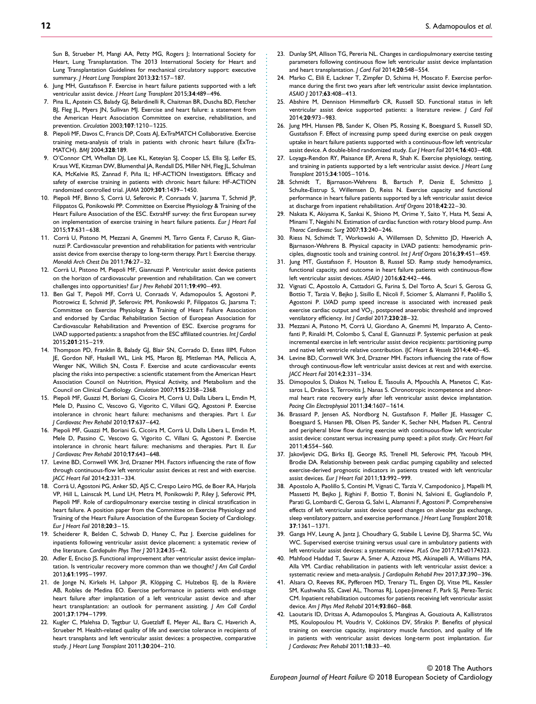Sun B, Strueber M, Mangi AA, Petty MG, Rogers J; International Society for Heart, Lung Transplantation. The 2013 International Society for Heart and Lung Transplantation Guidelines for mechanical circulatory support: executive summary. *J Heart Lung Transplant* 2013;**32**:157–187.

- 6. Jung MH, Gustafsson F. Exercise in heart failure patients supported with a left ventricular assist device. *J Heart Lung Transplant* 2015;**34**:489–496.
- 7. Pina IL, Apstein CS, Balady GJ, Belardinelli R, Chaitman BR, Duscha BD, Fletcher BJ, Fleg JL, Myers JN, Sullivan MJ. Exercise and heart failure: a statement from the American Heart Association Committee on exercise, rehabilitation, and prevention. *Circulation* 2003;**107**:1210–1225.
- 8. Piepoli MF, Davos C, Francis DP, Coats AJ, ExTraMATCH Collaborative. Exercise training meta-analysis of trials in patients with chronic heart failure (ExTra-MATCH). *BMJ* 2004;**328**:189.
- 9. O'Connor CM, Whellan DJ, Lee KL, Keteyian SJ, Cooper LS, Ellis SJ, Leifer ES, Kraus WE, Kitzman DW, Blumenthal JA, Rendall DS, Miller NH, Fleg JL, Schulman KA, McKelvie RS, Zannad F, Piña IL; HF-ACTION Investigators. Efficacy and safety of exercise training in patients with chronic heart failure: HF-ACTION randomized controlled trial. *JAMA* 2009;**301**:1439–1450.
- 10. Piepoli MF, Binno S, Corrà U, Seferovic P, Conraads V, Jaarsma T, Schmid JP, Filippatos G, Ponikowski PP. Committee on Exercise Physiology & Training of the Heart Failure Association of the ESC. ExtraHF survey: the first European survey on implementation of exercise training in heart failure patients. *Eur J Heart Fail* 2015;**17**:631–638.
- 11. Corrà U, Pistono M, Mezzani A, Gnemmi M, Tarro Genta F, Caruso R, Giannuzzi P. Cardiovascular prevention and rehabilitation for patients with ventricular assist device from exercise therapy to long-term therapy. Part I: Exercise therapy. *Monaldi Arch Chest Dis* 2011;**76**:27–32.
- 12. Corrà U, Pistono M, Piepoli MF, Giannuzzi P. Ventricular assist device patients on the horizon of cardiovascular prevention and rehabilitation. Can we convert challenges into opportunities? *Eur J Prev Rehabil* 2011;**19**:490–493.
- 13. Ben Gal T, Piepoli MF, Corrà U, Conraads V, Adamopoulos S, Agostoni P, Piotrowicz E, Schmid JP, Seferovic PM, Ponikowski P, Filippatos G, Jaarsma T; Committee on Exercise Physiology & Training of Heart Failure Association and endorsed by Cardiac Rehabilitation Section of European Association for Cardiovascular Rehabilitation and Prevention of ESC. Exercise programs for LVAD supported patients: a snapshot from the ESC affiliated countries. *Int J Cardiol* 2015;**201**:215–219.
- 14. Thompson PD, Franklin B, Balady GJ, Blair SN, Corrado D, Estes IIIM, Fulton JE, Gordon NF, Haskell WL, Link MS, Maron BJ, Mittleman MA, Pelliccia A, Wenger NK, Willich SN, Costa F. Exercise and acute cardiovascular events placing the risks into perspective: a scientific statement from the American Heart Association Council on Nutrition, Physical Activity, and Metabolism and the Council on Clinical Cardiology. *Circulation* 2007;**115**:2358–2368.
- 15. Piepoli MF, Guazzi M, Boriani G, Cicoira M, Corrà U, Dalla Libera L, Emdin M, Mele D, Passino C, Vescovo G, Vigorito C, Villani GQ, Agostoni P. Exercise intolerance in chronic heart failure: mechanisms and therapies. Part I. *Eur J Cardiovasc Prev Rehabil* 2010;**17**:637–642.
- 16. Piepoli MF, Guazzi M, Boriani G, Cicoira M, Corrà U, Dalla Libera L, Emdin M, Mele D, Passino C, Vescovo G, Vigorito C, Villani G, Agostoni P. Exercise intolerance in chronic heart failure: mechanisms and therapies. Part II. *Eur J Cardiovasc Prev Rehabil* 2010;**17**:643–648.
- 17. Levine BD, Cornwell WK 3rd, Drazner MH. Factors influencing the rate of flow through continuous-flow left ventricular assist devices at rest and with exercise. *JACC Heart Fail* 2014;**2**:331–334.
- 18. Corrà U, Agostoni PG, Anker SD, AJS C, Crespo Leiro MG, de Boer RA, Harjola VP, Hill L, Lainscak M, Lund LH, Metra M, Ponikowski P, Riley J, Seferovic PM, ´ Piepoli MF. Role of cardiopulmonary exercise testing in clinical stratification in heart failure. A position paper from the Committee on Exercise Physiology and Training of the Heart Failure Association of the European Society of Cardiology. *Eur J Heart Fail* 2018;**20**:3–15.
- 19. Scheiderer R, Belden C, Schwab D, Haney C, Paz J. Exercise guidelines for inpatients following ventricular assist device placement: a systematic review of the literature. *Cardiopulm Phys Ther J* 2013;**24**:35–42.
- 20. Adler E, Enciso JS. Functional improvement after ventricular assist device implantation. Is ventricular recovery more common than we thought? *J Am Coll Cardiol* 2013;**61**:1995–1997.
- 21. de Jonge N, Kirkels H, Lahpor JR, Klöpping C, Hulzebos EJ, de la Rivière AB, Robles de Medina EO. Exercise performance in patients with end-stage heart failure after implantation of a left ventricular assist device and after heart transplantation: an outlook for permanent assisting. *J Am Coll Cardiol* 2001;**37**:1794–1799.
- 22. Kugler C, Malehsa D, Tegtbur U, Guetzlaff E, Meyer AL, Bara C, Haverich A, Strueber M. Health-related quality of life and exercise tolerance in recipients of heart transplants and left ventricular assist devices: a prospective, comparative study. *J Heart Lung Transplant* 2011;**30**:204–210.
- 23. Dunlay SM, Allison TG, Pereria NL. Changes in cardiopulmonary exercise testing parameters following continuous flow left ventricular assist device implantation and heart transplantation. *J Card Fail* 2014;**20**:548–554.
- 24. Marko C, Elili E, Lackner T, Zimpfer D, Schima H, Moscato F. Exercise performance during the first two years after left ventricular assist device implantation. *ASAIO J* 2017;**63**:408–413.
- 25. Abshire M, Dennison Himmelfarb CR, Russell SD. Functional status in left ventricular assist device supported patients: a literature review. *J Card Fail* 2014;**20**:973–983.
- 26. Jung MH, Hansen PB, Sander K, Olsen PS, Rossing K, Boesgaard S, Russell SD, Gustafsson F. Effect of increasing pump speed during exercise on peak oxygen uptake in heart failure patients supported with a continuous-flow left ventricular assist device. A double-blind randomized study. *Eur J Heart Fail* 2014;**16**:403–408.
- 27. Loyaga-Rendon RY, Plaisance EP, Arena R, Shah K. Exercise physiology, testing, and training in patients supported by a left ventricular assist device. *J Heart Lung Transplant* 2015;**34**:1005–1016.
- 28. Schmidt T, Bjarnason-Wehrens B, Bartsch P, Deniz E, Schmitto J, Schulte-Eistrup S, Willemsen D, Reiss N. Exercise capacity and functional performance in heart failure patients supported by a left ventricular assist device at discharge from inpatient rehabilitation. *Artif Organs* 2018;**42**:22–30.
- 29. Nakata K, Akiyama K, Sankai K, Shiono M, Orime Y, Saito Y, Hata M, Sezai A, Minami T, Negishi N. Estimation of cardiac function with rotary blood pump. *Ann Thorac Cardiovasc Surg* 2007;**13**:240–246.
- 30. Riess N, Schimdt T, Workowski A, Willemsen D, Schmitto JD, Haverich A, Bjarnason-Wehrens B. Physical capacity in LVAD patients: hemodynamic principles, diagnostic tools and training control. *Int J Artif Organs* 2016;**39**:451–459.
- 31. Jung MT, Gustafsson F, Houston B, Russel SD. Ramp study hemodynamics, functional capacity, and outcome in heart failure patients with continuous-flow left ventricular assist devices. *ASAIO J* 2016;**62**:442–446.
- 32. Vignati C, Apostolo A, Cattadori G, Farina S, Del Torto A, Scuri S, Gerosa G, Bottio T, Tarzia V, Bejko J, Sisillo E, Nicoli F, Sciomer S, Alamanni F, Paolillo S, Agostoni P. LVAD pump speed increase is associated with increased peak exercise cardiac output and  $VO<sub>2</sub>$ , postponed anaerobic threshold and improved ventilatory efficiency. *Int J Cardiol* 2017;**230**:28–32.
- 33. Mezzani A, Pistono M, Corrà U, Giordano A, Gnemmi M, Imparato A, Centofanti P, Rinaldi M, Colombo S, Canal E, Giannuzzi P. Systemic perfusion at peak incremental exercise in left ventricular assist device recipients: partitioning pump and native left ventricle relative contribution. *IJC Heart & Vessels* 2014;**4**:40–45.
- 34. Levine BD, Cornwell WK 3rd, Drazner MH. Factors influencing the rate of flow through continuous-flow left ventricular assist devices at rest and with exercise. *JACC Heart Fail* 2014;**2**:331–334.

................................................................ ............................................................... .........................................

- 35. Dimopoulos S, Diakos N, Tseliou E, Tasoulis A, Mpouchla A, Manetos C, Katsaros L, Drakos S, Terrovitis J, Nanas S. Chronotropic incompetence and abnormal heart rate recovery early after left ventricular assist device implantation. *Pacing Clin Electrophysiol* 2011;**34**:1607–1614.
- 36. Brassard P, Jensen AS, Nordborg N, Gustafsson F, Møller JE, Hassager C, Boesgaard S, Hansen PB, Olsen PS, Sander K, Secher NH, Madsen PL. Central and peripheral blow flow during exercise with continuous-flow left ventricular assist device: constant versus increasing pump speed: a pilot study. *Circ Heart Fail* 2011;**4**:554–560.
- 37. Jakovljevic DG, Birks EJ, George RS, Trenell MI, Seferovic PM, Yacoub MH, Brodie DA. Relationship between peak cardiac pumping capability and selected exercise-derived prognostic indicators in patients treated with left ventricular assist devices. *Eur J Heart Fail* 2011;**13**:992–999.
- 38. Apostolo A, Paolillo S, Contini M, Vignati C, Tarzia V, Campodonico J, Mapelli M, Massetti M, Bejko J, Righini F, Bottio T, Bonini N, Salvioni E, Gugliandolo P, Parati G, Lombardi C, Gerosa G, Salvi L, Alamanni F, Agostoni P. Comprehensive effects of left ventricular assist device speed changes on alveolar gas exchange, sleep ventilatory pattern, and exercise performance. *J Heart Lung Transplant* 2018; **37**:1361–1371.
- 39. Ganga HV, Leung A, Jantz J, Choudhary G, Stabile L Levine DJ, Sharma SC, Wu WC. Supervised exercise training versus usual care in ambulatory patients with left ventricular assist devices: a systematic review. *PLoS One* 2017;**12**:e0174323.
- 40. Mahfood Haddad T, Saurav A, Smer A, Azzouz MS, Akinapelli A, Williams MA, Alla VM. Cardiac rehabilitation in patients with left ventricular assist device: a systematic review and meta-analysis. *J Cardiopulm Rehabil Prev* 2017;**37**:390–396.
- 41. Alsara O, Reeves RK, Pyfferoen MD, Trenary TL, Engen DJ, Vitse ML, Kessler SM, Kushwaha SS, Cavel AL, Thomas RJ, Lopez-Jimenez F, Park SJ, Perez-Terzic CM. Inpatient rehabilitation outcomes for patients receiving left ventricular assist device. *Am J Phys Med Rehabil* 2014;**93**:860–868.
- 42. Laoutaris ID, Dritsas A, Adamopoulos S, Manginas A, Gouziouta A, Kallistratos MS, Koulopoulou M, Voudris V, Cokkinos DV, Sfirakis P. Benefits of physical training on exercise capacity, inspiratory muscle function, and quality of life in patients with ventricular assist devices long-term post implantation. *Eur J Cardiovasc Prev Rehabil* 2011;**18**:33–40.